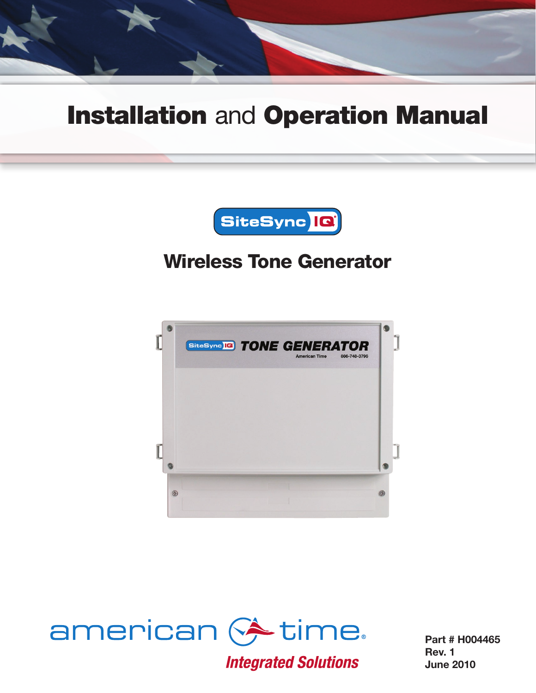

## Installation and Operation Manual



## Wireless Tone Generator





**Integrated Solutions** 

Part # H004465 Rev. 1 June 2010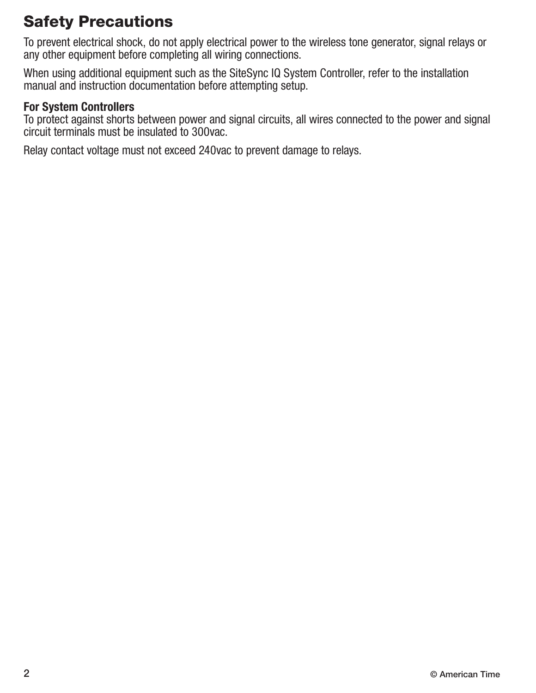## Safety Precautions

To prevent electrical shock, do not apply electrical power to the wireless tone generator, signal relays or any other equipment before completing all wiring connections.

When using additional equipment such as the SiteSync IQ System Controller, refer to the installation manual and instruction documentation before attempting setup.

#### For System Controllers

To protect against shorts between power and signal circuits, all wires connected to the power and signal circuit terminals must be insulated to 300vac.

Relay contact voltage must not exceed 240vac to prevent damage to relays.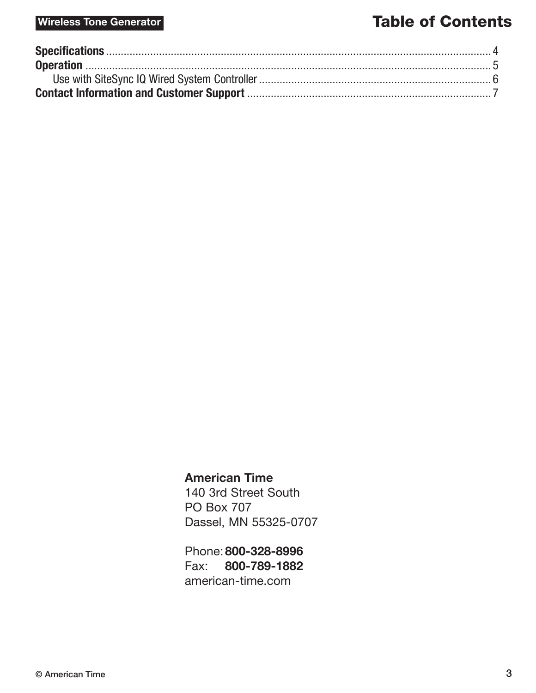#### Wireless Tone Generator **Table of Contents**

#### American Time

140 3rd Street South PO Box 707 Dassel, MN 55325-0707

Phone:800-328-8996 Fax: 800-789-1882 [american-time.com](http://www.atsclock.com)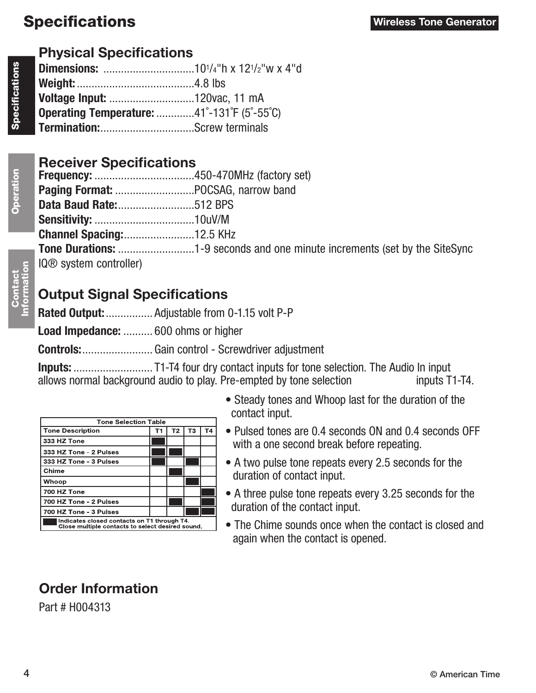### Specifications

### Physical Specifications

| <b>Operating Temperature:</b> 41°-131°F (5°-55°C) |  |
|---------------------------------------------------|--|
|                                                   |  |

#### Receiver Specifications

| <b>IQ®</b> system controller) |  |
|-------------------------------|--|

### Output Signal Specifications

Rated Output: ................. Adjustable from 0-1.15 volt P-P Load Impedance: .......... 600 ohms or higher Controls:........................ Gain control - Screwdriver adjustment

Inputs: ........................... T1-T4 four dry contact inputs for tone selection. The Audio In input allows normal background audio to play. Pre-empted by tone selection inputs T1-T4.

| <b>Tone Selection Table</b>                                                                     |  |                |    |    |
|-------------------------------------------------------------------------------------------------|--|----------------|----|----|
| <b>Tone Description</b>                                                                         |  | T <sub>2</sub> | ТЗ | Т4 |
| 333 HZ Tone                                                                                     |  |                |    |    |
| 333 HZ Tone - 2 Pulses                                                                          |  |                |    |    |
| 333 HZ Tone - 3 Pulses                                                                          |  |                |    |    |
| Chime                                                                                           |  |                |    |    |
| Whoop                                                                                           |  |                |    |    |
| 700 HZ Tone                                                                                     |  |                |    |    |
| 700 HZ Tone - 2 Pulses                                                                          |  |                |    |    |
| 700 HZ Tone - 3 Pulses                                                                          |  |                |    |    |
| Indicates closed contacts on T1 through T4.<br>Close multiple contacts to select desired sound. |  |                |    |    |

- Steady tones and Whoop last for the duration of the contact input.
- Pulsed tones are 0.4 seconds ON and 0.4 seconds OFF with a one second break before repeating.
- A two pulse tone repeats every 2.5 seconds for the duration of contact input.
- A three pulse tone repeats every 3.25 seconds for the duration of the contact input.
- The Chime sounds once when the contact is closed and again when the contact is opened.

## Order Information

Part # H004313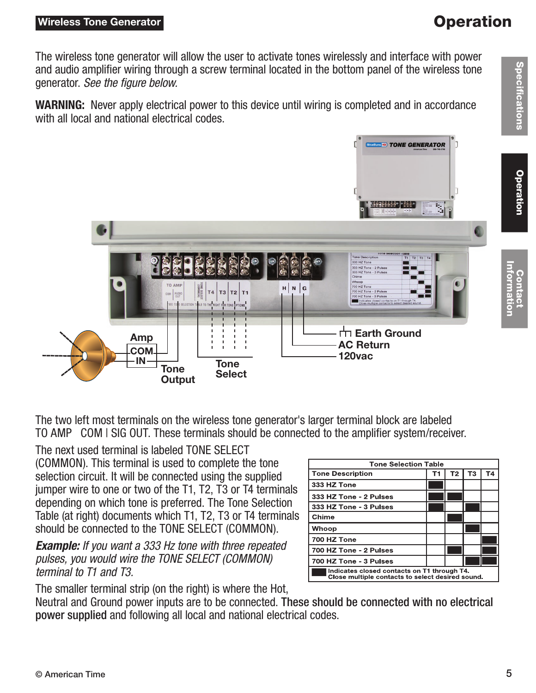#### Wireless Tone Generator

#### **Operation**

The wireless tone generator will allow the user to activate tones wirelessly and interface with power and audio amplifier wiring through a screw terminal located in the bottom panel of the wireless tone generator. *See the figure below.*

WARNING: Never apply electrical power to this device until wiring is completed and in accordance with all local and national electrical codes.



The two left most terminals on the wireless tone generator's larger terminal block are labeled TO AMP COM | SIG OUT. These terminals should be connected to the amplifier system/receiver.

The next used terminal is labeled TONE SELECT (COMMON). This terminal is used to complete the tone selection circuit. It will be connected using the supplied jumper wire to one or two of the T1, T2, T3 or T4 terminals depending on which tone is preferred. The Tone Selection Table (at right) documents which T1, T2, T3 or T4 terminals should be connected to the TONE SELECT (COMMON).

*Example: If you want a 333 Hz tone with three repeated pulses, you would wire the TONE SELECT (COMMON) terminal to T1 and T3.*

The smaller terminal strip (on the right) is where the Hot,

Neutral and Ground power inputs are to be connected. These should be connected with no electrical power supplied and following all local and national electrical codes.

| <b>Tone Selection Table</b>                                                                     |    |                |    |    |  |
|-------------------------------------------------------------------------------------------------|----|----------------|----|----|--|
| <b>Tone Description</b>                                                                         | т1 | T <sub>2</sub> | ТЗ | Τ4 |  |
| 333 HZ Tone                                                                                     |    |                |    |    |  |
| 333 HZ Tone - 2 Pulses                                                                          |    |                |    |    |  |
| 333 HZ Tone - 3 Pulses                                                                          |    |                |    |    |  |
| Chime                                                                                           |    |                |    |    |  |
| Whoop                                                                                           |    |                |    |    |  |
| 700 HZ Tone                                                                                     |    |                |    |    |  |
| 700 HZ Tone - 2 Pulses                                                                          |    |                |    |    |  |
| 700 HZ Tone - 3 Pulses                                                                          |    |                |    |    |  |
| Indicates closed contacts on T1 through T4.<br>Close multiple contacts to select desired sound. |    |                |    |    |  |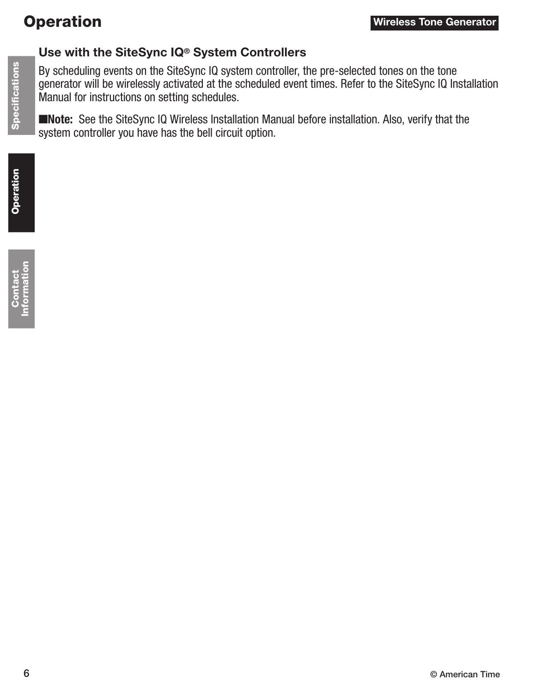### **Operation**

# **Specifications** Operation Specifications

#### Use with the SiteSync IQ® System Controllers

By scheduling events on the SiteSync IQ system controller, the pre-selected tones on the tone generator will be wirelessly activated at the scheduled event times. Refer to the SiteSync IQ Installation Manual for instructions on setting schedules.

■Note: See the SiteSync IQ Wireless Installation Manual before installation. Also, verify that the system controller you have has the bell circuit option.